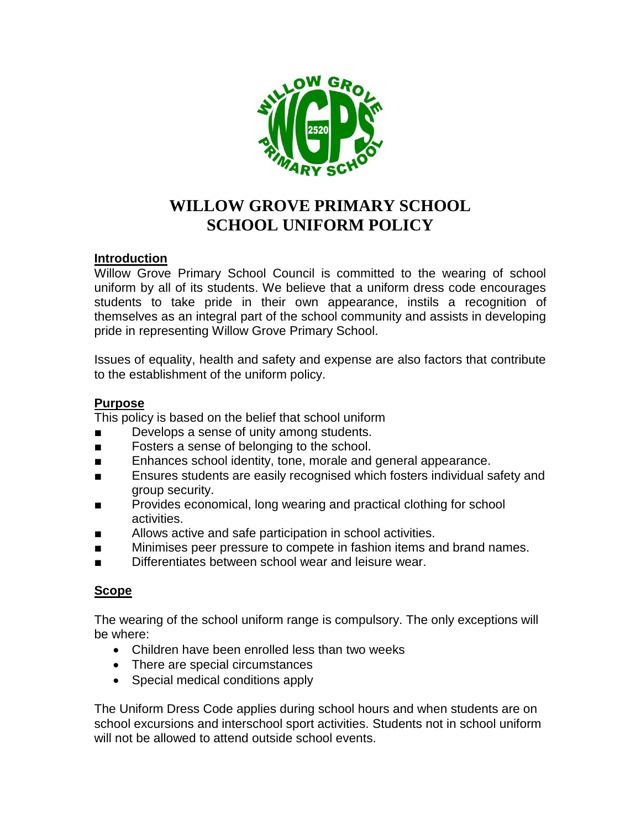

# **WILLOW GROVE PRIMARY SCHOOL SCHOOL UNIFORM POLICY**

## **Introduction**

Willow Grove Primary School Council is committed to the wearing of school uniform by all of its students. We believe that a uniform dress code encourages students to take pride in their own appearance, instils a recognition of themselves as an integral part of the school community and assists in developing pride in representing Willow Grove Primary School.

Issues of equality, health and safety and expense are also factors that contribute to the establishment of the uniform policy.

## **Purpose**

This policy is based on the belief that school uniform

- Develops a sense of unity among students.
- Fosters a sense of belonging to the school.
- Enhances school identity, tone, morale and general appearance.
- Ensures students are easily recognised which fosters individual safety and group security.
- Provides economical, long wearing and practical clothing for school activities.
- Allows active and safe participation in school activities.
- Minimises peer pressure to compete in fashion items and brand names.
- Differentiates between school wear and leisure wear.

## **Scope**

The wearing of the school uniform range is compulsory. The only exceptions will be where:

- Children have been enrolled less than two weeks
- There are special circumstances
- Special medical conditions apply

The Uniform Dress Code applies during school hours and when students are on school excursions and interschool sport activities. Students not in school uniform will not be allowed to attend outside school events.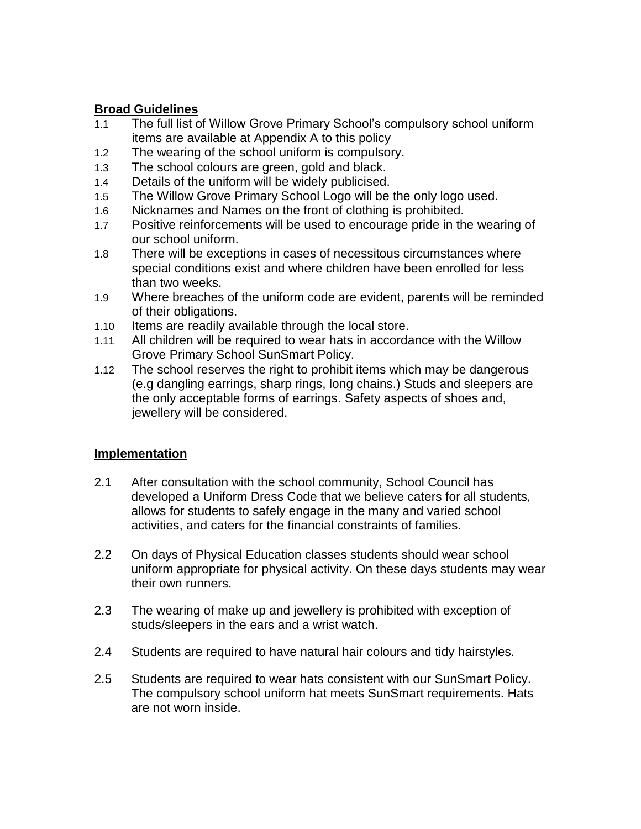## **Broad Guidelines**

- 1.1 The full list of Willow Grove Primary School's compulsory school uniform items are available at Appendix A to this policy
- 1.2 The wearing of the school uniform is compulsory.
- 1.3 The school colours are green, gold and black.
- 1.4 Details of the uniform will be widely publicised.
- 1.5 The Willow Grove Primary School Logo will be the only logo used.
- 1.6 Nicknames and Names on the front of clothing is prohibited.
- 1.7 Positive reinforcements will be used to encourage pride in the wearing of our school uniform.
- 1.8 There will be exceptions in cases of necessitous circumstances where special conditions exist and where children have been enrolled for less than two weeks.
- 1.9 Where breaches of the uniform code are evident, parents will be reminded of their obligations.
- 1.10 Items are readily available through the local store.
- 1.11 All children will be required to wear hats in accordance with the Willow Grove Primary School SunSmart Policy.
- 1.12 The school reserves the right to prohibit items which may be dangerous (e.g dangling earrings, sharp rings, long chains.) Studs and sleepers are the only acceptable forms of earrings. Safety aspects of shoes and, jewellery will be considered.

## **Implementation**

- 2.1 After consultation with the school community, School Council has developed a Uniform Dress Code that we believe caters for all students, allows for students to safely engage in the many and varied school activities, and caters for the financial constraints of families.
- 2.2 On days of Physical Education classes students should wear school uniform appropriate for physical activity. On these days students may wear their own runners.
- 2.3 The wearing of make up and jewellery is prohibited with exception of studs/sleepers in the ears and a wrist watch.
- 2.4 Students are required to have natural hair colours and tidy hairstyles.
- 2.5 Students are required to wear hats consistent with our SunSmart Policy. The compulsory school uniform hat meets SunSmart requirements. Hats are not worn inside.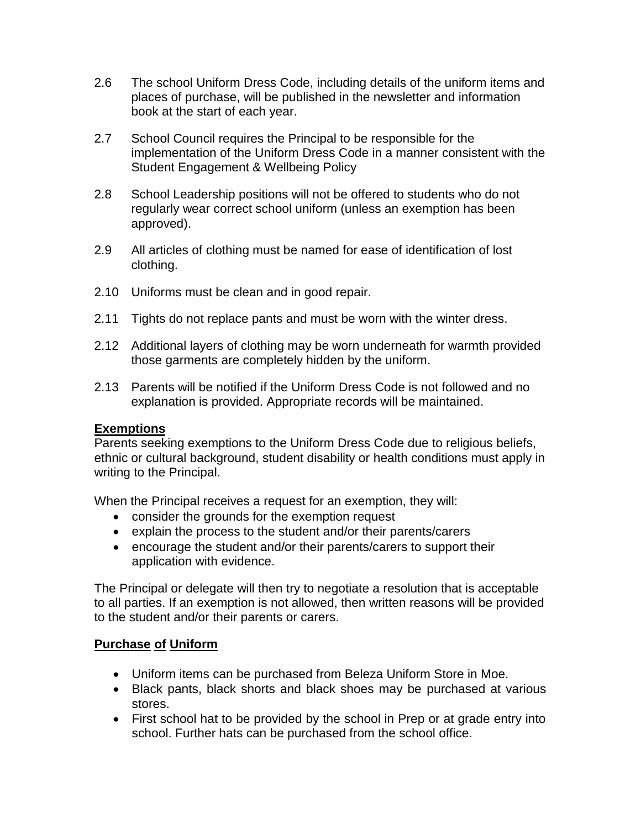- 2.6 The school Uniform Dress Code, including details of the uniform items and places of purchase, will be published in the newsletter and information book at the start of each year.
- 2.7 School Council requires the Principal to be responsible for the implementation of the Uniform Dress Code in a manner consistent with the Student Engagement & Wellbeing Policy
- 2.8 School Leadership positions will not be offered to students who do not regularly wear correct school uniform (unless an exemption has been approved).
- 2.9 All articles of clothing must be named for ease of identification of lost clothing.
- 2.10 Uniforms must be clean and in good repair.
- 2.11 Tights do not replace pants and must be worn with the winter dress.
- 2.12 Additional layers of clothing may be worn underneath for warmth provided those garments are completely hidden by the uniform.
- 2.13 Parents will be notified if the Uniform Dress Code is not followed and no explanation is provided. Appropriate records will be maintained.

## **Exemptions**

Parents seeking exemptions to the Uniform Dress Code due to religious beliefs, ethnic or cultural background, student disability or health conditions must apply in writing to the Principal.

When the Principal receives a request for an exemption, they will:

- consider the grounds for the exemption request
- explain the process to the student and/or their parents/carers
- encourage the student and/or their parents/carers to support their application with evidence.

The Principal or delegate will then try to negotiate a resolution that is acceptable to all parties. If an exemption is not allowed, then written reasons will be provided to the student and/or their parents or carers.

## **Purchase of Uniform**

- Uniform items can be purchased from Beleza Uniform Store in Moe.
- Black pants, black shorts and black shoes may be purchased at various stores.
- First school hat to be provided by the school in Prep or at grade entry into school. Further hats can be purchased from the school office.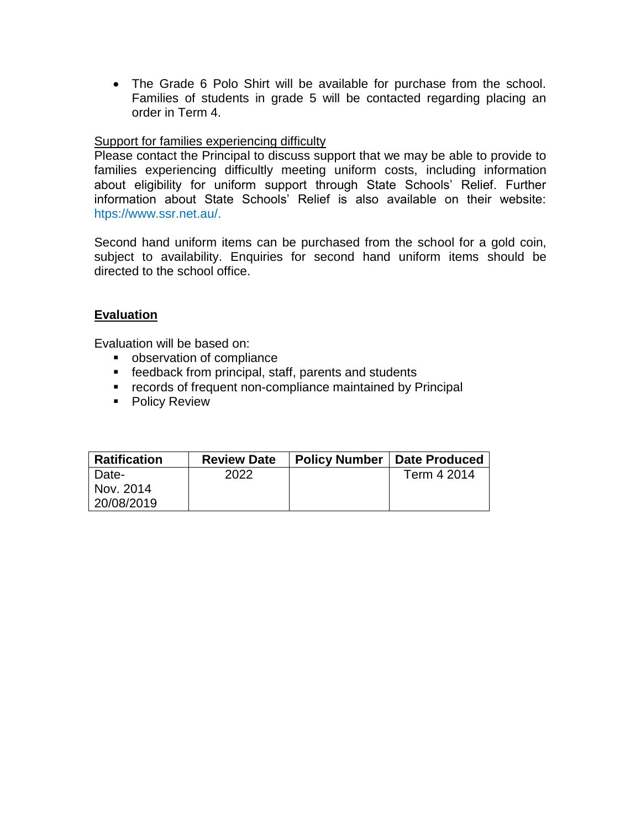The Grade 6 Polo Shirt will be available for purchase from the school. Families of students in grade 5 will be contacted regarding placing an order in Term 4.

## Support for families experiencing difficulty

Please contact the Principal to discuss support that we may be able to provide to families experiencing difficultly meeting uniform costs, including information about eligibility for uniform support through State Schools' Relief. Further information about State Schools' Relief is also available on their website: htps://www.ssr.net.au/.

Second hand uniform items can be purchased from the school for a gold coin, subject to availability. Enquiries for second hand uniform items should be directed to the school office.

## **Evaluation**

Evaluation will be based on:

- **•** observation of compliance
- **F** feedback from principal, staff, parents and students
- **F** records of frequent non-compliance maintained by Principal
- **Policy Review**

| <b>Ratification</b> | <b>Review Date</b> | <b>Policy Number</b> | Date Produced |
|---------------------|--------------------|----------------------|---------------|
| Date-               | 2022               |                      | Term 4 2014   |
| Nov. 2014           |                    |                      |               |
| 20/08/2019          |                    |                      |               |